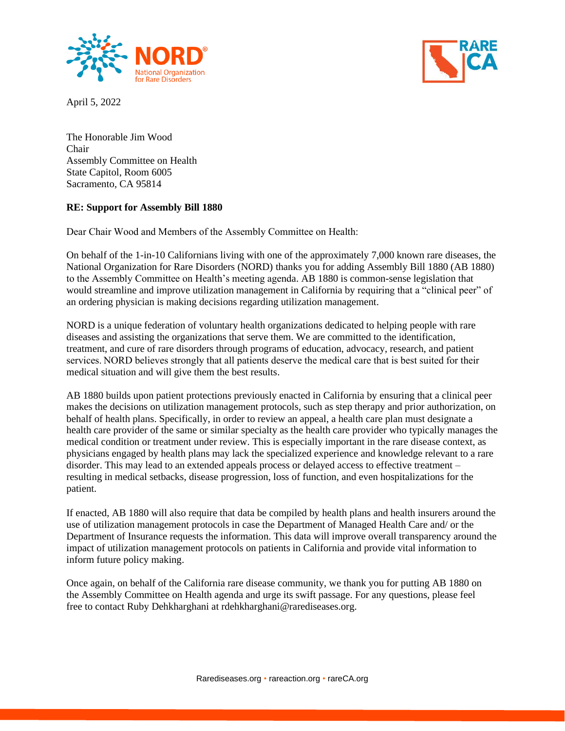

April 5, 2022



The Honorable Jim Wood Chair Assembly Committee on Health State Capitol, Room 6005 Sacramento, CA 95814

## **RE: Support for Assembly Bill 1880**

Dear Chair Wood and Members of the Assembly Committee on Health: 

On behalf of the 1-in-10 Californians living with one of the approximately 7,000 known rare diseases, the National Organization for Rare Disorders (NORD) thanks you for adding Assembly Bill 1880 (AB 1880) to the Assembly Committee on Health's meeting agenda. AB 1880 is common-sense legislation that would streamline and improve utilization management in California by requiring that a "clinical peer" of an ordering physician is making decisions regarding utilization management.

NORD is a unique federation of voluntary health organizations dedicated to helping people with rare diseases and assisting the organizations that serve them. We are committed to the identification, treatment, and cure of rare disorders through programs of education, advocacy, research, and patient services. NORD believes strongly that all patients deserve the medical care that is best suited for their medical situation and will give them the best results.

AB 1880 builds upon patient protections previously enacted in California by ensuring that a clinical peer makes the decisions on utilization management protocols, such as step therapy and prior authorization, on behalf of health plans. Specifically, in order to review an appeal, a health care plan must designate a health care provider of the same or similar specialty as the health care provider who typically manages the medical condition or treatment under review. This is especially important in the rare disease context, as physicians engaged by health plans may lack the specialized experience and knowledge relevant to a rare disorder. This may lead to an extended appeals process or delayed access to effective treatment – resulting in medical setbacks, disease progression, loss of function, and even hospitalizations for the patient.

If enacted, AB 1880 will also require that data be compiled by health plans and health insurers around the use of utilization management protocols in case the Department of Managed Health Care and/ or the Department of Insurance requests the information. This data will improve overall transparency around the impact of utilization management protocols on patients in California and provide vital information to inform future policy making.

Once again, on behalf of the California rare disease community, we thank you for putting AB 1880 on the Assembly Committee on Health agenda and urge its swift passage. For any questions, please feel free to contact Ruby Dehkharghani at rdehkharghani@rarediseases.org.